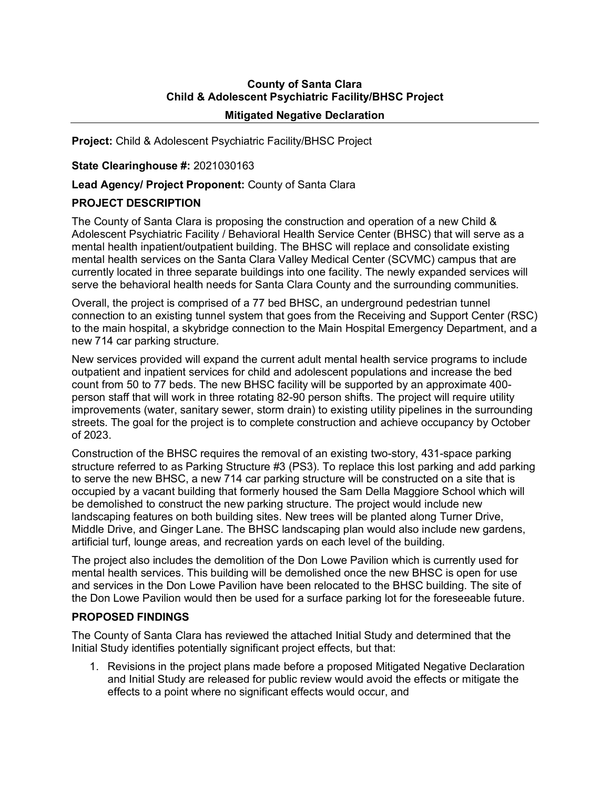# **County of Santa Clara Child & Adolescent Psychiatric Facility/BHSC Project Mitigated Negative Declaration**

**Project:** Child & Adolescent Psychiatric Facility/BHSC Project

#### **State Clearinghouse #:** 2021030163

## **Lead Agency/ Project Proponent:** County of Santa Clara

## **PROJECT DESCRIPTION**

The County of Santa Clara is proposing the construction and operation of a new Child & Adolescent Psychiatric Facility / Behavioral Health Service Center (BHSC) that will serve as a mental health inpatient/outpatient building. The BHSC will replace and consolidate existing mental health services on the Santa Clara Valley Medical Center (SCVMC) campus that are currently located in three separate buildings into one facility. The newly expanded services will serve the behavioral health needs for Santa Clara County and the surrounding communities.

Overall, the project is comprised of a 77 bed BHSC, an underground pedestrian tunnel connection to an existing tunnel system that goes from the Receiving and Support Center (RSC) to the main hospital, a skybridge connection to the Main Hospital Emergency Department, and a new 714 car parking structure.

New services provided will expand the current adult mental health service programs to include outpatient and inpatient services for child and adolescent populations and increase the bed count from 50 to 77 beds. The new BHSC facility will be supported by an approximate 400 person staff that will work in three rotating 82-90 person shifts. The project will require utility improvements (water, sanitary sewer, storm drain) to existing utility pipelines in the surrounding streets. The goal for the project is to complete construction and achieve occupancy by October of 2023.

Construction of the BHSC requires the removal of an existing two-story, 431-space parking structure referred to as Parking Structure #3 (PS3). To replace this lost parking and add parking to serve the new BHSC, a new 714 car parking structure will be constructed on a site that is occupied by a vacant building that formerly housed the Sam Della Maggiore School which will be demolished to construct the new parking structure. The project would include new landscaping features on both building sites. New trees will be planted along Turner Drive, Middle Drive, and Ginger Lane. The BHSC landscaping plan would also include new gardens, artificial turf, lounge areas, and recreation yards on each level of the building.

The project also includes the demolition of the Don Lowe Pavilion which is currently used for mental health services. This building will be demolished once the new BHSC is open for use and services in the Don Lowe Pavilion have been relocated to the BHSC building. The site of the Don Lowe Pavilion would then be used for a surface parking lot for the foreseeable future.

#### **PROPOSED FINDINGS**

The County of Santa Clara has reviewed the attached Initial Study and determined that the Initial Study identifies potentially significant project effects, but that:

1. Revisions in the project plans made before a proposed Mitigated Negative Declaration and Initial Study are released for public review would avoid the effects or mitigate the effects to a point where no significant effects would occur, and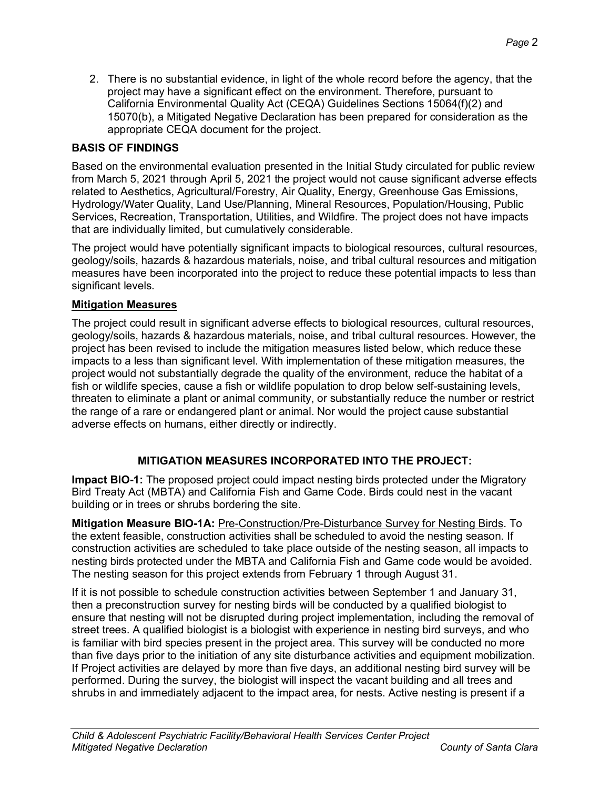2. There is no substantial evidence, in light of the whole record before the agency, that the project may have a significant effect on the environment. Therefore, pursuant to California Environmental Quality Act (CEQA) Guidelines Sections 15064(f)(2) and 15070(b), a Mitigated Negative Declaration has been prepared for consideration as the

**BASIS OF FINDINGS**

appropriate CEQA document for the project.

Based on the environmental evaluation presented in the Initial Study circulated for public review from March 5, 2021 through April 5, 2021 the project would not cause significant adverse effects related to Aesthetics, Agricultural/Forestry, Air Quality, Energy, Greenhouse Gas Emissions, Hydrology/Water Quality, Land Use/Planning, Mineral Resources, Population/Housing, Public Services, Recreation, Transportation, Utilities, and Wildfire. The project does not have impacts that are individually limited, but cumulatively considerable.

The project would have potentially significant impacts to biological resources, cultural resources, geology/soils, hazards & hazardous materials, noise, and tribal cultural resources and mitigation measures have been incorporated into the project to reduce these potential impacts to less than significant levels.

## **Mitigation Measures**

The project could result in significant adverse effects to biological resources, cultural resources, geology/soils, hazards & hazardous materials, noise, and tribal cultural resources. However, the project has been revised to include the mitigation measures listed below, which reduce these impacts to a less than significant level. With implementation of these mitigation measures, the project would not substantially degrade the quality of the environment, reduce the habitat of a fish or wildlife species, cause a fish or wildlife population to drop below self-sustaining levels, threaten to eliminate a plant or animal community, or substantially reduce the number or restrict the range of a rare or endangered plant or animal. Nor would the project cause substantial adverse effects on humans, either directly or indirectly.

# **MITIGATION MEASURES INCORPORATED INTO THE PROJECT:**

**Impact BIO-1:** The proposed project could impact nesting birds protected under the Migratory Bird Treaty Act (MBTA) and California Fish and Game Code. Birds could nest in the vacant building or in trees or shrubs bordering the site.

**Mitigation Measure BIO-1A: Pre-Construction/Pre-Disturbance Survey for Nesting Birds. To** the extent feasible, construction activities shall be scheduled to avoid the nesting season. If construction activities are scheduled to take place outside of the nesting season, all impacts to nesting birds protected under the MBTA and California Fish and Game code would be avoided. The nesting season for this project extends from February 1 through August 31.

If it is not possible to schedule construction activities between September 1 and January 31, then a preconstruction survey for nesting birds will be conducted by a qualified biologist to ensure that nesting will not be disrupted during project implementation, including the removal of street trees. A qualified biologist is a biologist with experience in nesting bird surveys, and who is familiar with bird species present in the project area. This survey will be conducted no more than five days prior to the initiation of any site disturbance activities and equipment mobilization. If Project activities are delayed by more than five days, an additional nesting bird survey will be performed. During the survey, the biologist will inspect the vacant building and all trees and shrubs in and immediately adjacent to the impact area, for nests. Active nesting is present if a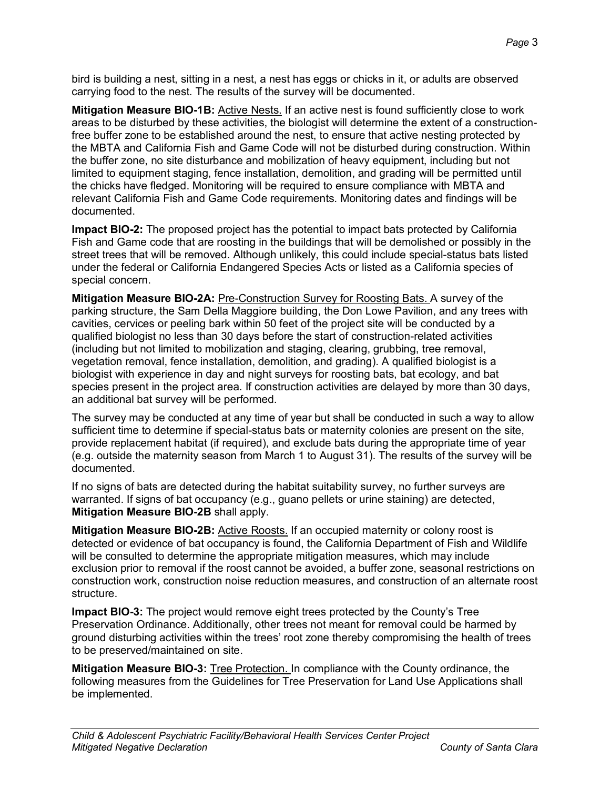bird is building a nest, sitting in a nest, a nest has eggs or chicks in it, or adults are observed carrying food to the nest. The results of the survey will be documented.

**Mitigation Measure BIO-1B:** Active Nests. If an active nest is found sufficiently close to work areas to be disturbed by these activities, the biologist will determine the extent of a constructionfree buffer zone to be established around the nest, to ensure that active nesting protected by the MBTA and California Fish and Game Code will not be disturbed during construction. Within the buffer zone, no site disturbance and mobilization of heavy equipment, including but not limited to equipment staging, fence installation, demolition, and grading will be permitted until the chicks have fledged. Monitoring will be required to ensure compliance with MBTA and relevant California Fish and Game Code requirements. Monitoring dates and findings will be documented.

**Impact BIO-2:** The proposed project has the potential to impact bats protected by California Fish and Game code that are roosting in the buildings that will be demolished or possibly in the street trees that will be removed. Although unlikely, this could include special-status bats listed under the federal or California Endangered Species Acts or listed as a California species of special concern.

**Mitigation Measure BIO-2A:** Pre-Construction Survey for Roosting Bats. A survey of the parking structure, the Sam Della Maggiore building, the Don Lowe Pavilion, and any trees with cavities, cervices or peeling bark within 50 feet of the project site will be conducted by a qualified biologist no less than 30 days before the start of construction-related activities (including but not limited to mobilization and staging, clearing, grubbing, tree removal, vegetation removal, fence installation, demolition, and grading). A qualified biologist is a biologist with experience in day and night surveys for roosting bats, bat ecology, and bat species present in the project area. If construction activities are delayed by more than 30 days, an additional bat survey will be performed.

The survey may be conducted at any time of year but shall be conducted in such a way to allow sufficient time to determine if special-status bats or maternity colonies are present on the site, provide replacement habitat (if required), and exclude bats during the appropriate time of year (e.g. outside the maternity season from March 1 to August 31). The results of the survey will be documented.

If no signs of bats are detected during the habitat suitability survey, no further surveys are warranted. If signs of bat occupancy (e.g., guano pellets or urine staining) are detected, **Mitigation Measure BIO-2B** shall apply.

**Mitigation Measure BIO-2B:** Active Roosts. If an occupied maternity or colony roost is detected or evidence of bat occupancy is found, the California Department of Fish and Wildlife will be consulted to determine the appropriate mitigation measures, which may include exclusion prior to removal if the roost cannot be avoided, a buffer zone, seasonal restrictions on construction work, construction noise reduction measures, and construction of an alternate roost structure.

**Impact BIO-3:** The project would remove eight trees protected by the County's Tree Preservation Ordinance. Additionally, other trees not meant for removal could be harmed by ground disturbing activities within the trees' root zone thereby compromising the health of trees to be preserved/maintained on site.

**Mitigation Measure BIO-3:** Tree Protection. In compliance with the County ordinance, the following measures from the Guidelines for Tree Preservation for Land Use Applications shall be implemented.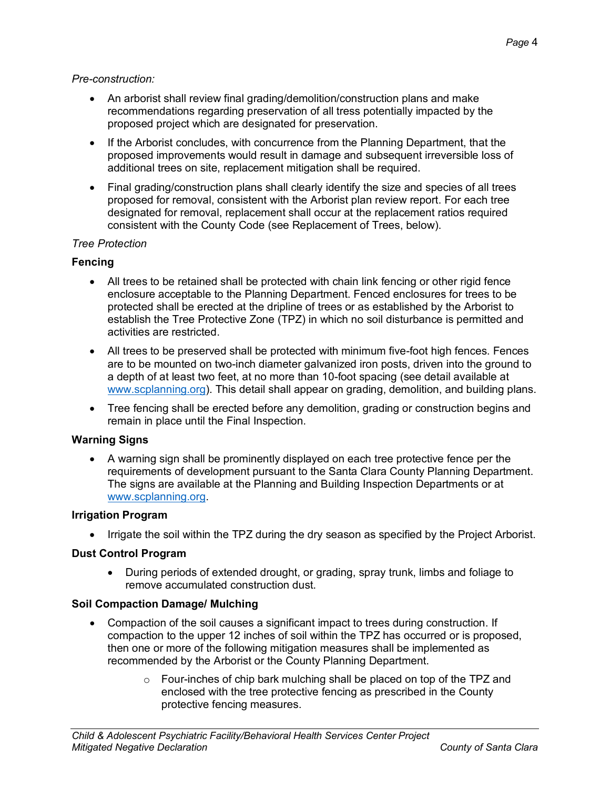## *Pre-construction:*

- An arborist shall review final grading/demolition/construction plans and make recommendations regarding preservation of all tress potentially impacted by the proposed project which are designated for preservation.
- If the Arborist concludes, with concurrence from the Planning Department, that the proposed improvements would result in damage and subsequent irreversible loss of additional trees on site, replacement mitigation shall be required.
- Final grading/construction plans shall clearly identify the size and species of all trees proposed for removal, consistent with the Arborist plan review report. For each tree designated for removal, replacement shall occur at the replacement ratios required consistent with the County Code (see Replacement of Trees, below).

## *Tree Protection*

## **Fencing**

- All trees to be retained shall be protected with chain link fencing or other rigid fence enclosure acceptable to the Planning Department. Fenced enclosures for trees to be protected shall be erected at the dripline of trees or as established by the Arborist to establish the Tree Protective Zone (TPZ) in which no soil disturbance is permitted and activities are restricted.
- All trees to be preserved shall be protected with minimum five-foot high fences. Fences are to be mounted on two-inch diameter galvanized iron posts, driven into the ground to a depth of at least two feet, at no more than 10-foot spacing (see detail available at [www.scplanning.org\)](http://www.scplanning.org/). This detail shall appear on grading, demolition, and building plans.
- Tree fencing shall be erected before any demolition, grading or construction begins and remain in place until the Final Inspection.

#### **Warning Signs**

• A warning sign shall be prominently displayed on each tree protective fence per the requirements of development pursuant to the Santa Clara County Planning Department. The signs are available at the Planning and Building Inspection Departments or at [www.scplanning.org.](http://www.scplanning.org/)

#### **Irrigation Program**

• Irrigate the soil within the TPZ during the dry season as specified by the Project Arborist.

#### **Dust Control Program**

• During periods of extended drought, or grading, spray trunk, limbs and foliage to remove accumulated construction dust.

## **Soil Compaction Damage/ Mulching**

- Compaction of the soil causes a significant impact to trees during construction. If compaction to the upper 12 inches of soil within the TPZ has occurred or is proposed, then one or more of the following mitigation measures shall be implemented as recommended by the Arborist or the County Planning Department.
	- o Four-inches of chip bark mulching shall be placed on top of the TPZ and enclosed with the tree protective fencing as prescribed in the County protective fencing measures.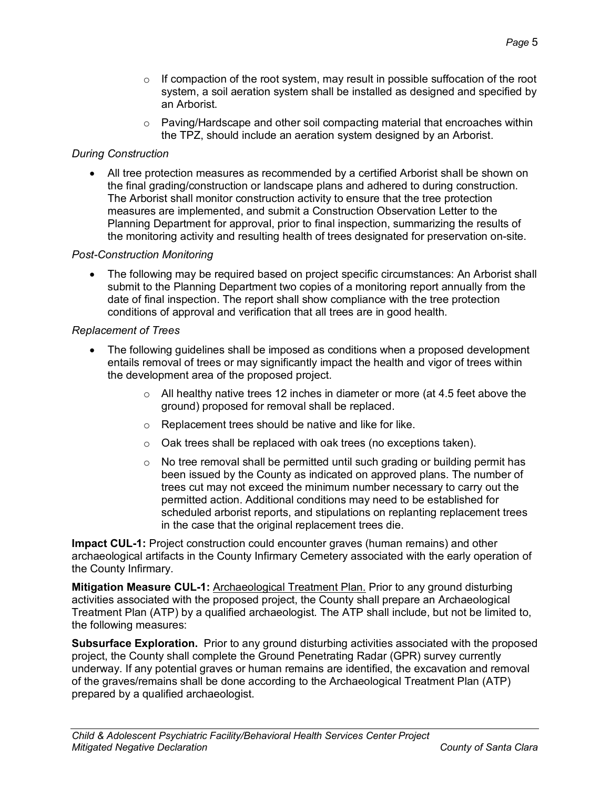- $\circ$  If compaction of the root system, may result in possible suffocation of the root system, a soil aeration system shall be installed as designed and specified by an Arborist.
- $\circ$  Paving/Hardscape and other soil compacting material that encroaches within the TPZ, should include an aeration system designed by an Arborist.

## *During Construction*

• All tree protection measures as recommended by a certified Arborist shall be shown on the final grading/construction or landscape plans and adhered to during construction. The Arborist shall monitor construction activity to ensure that the tree protection measures are implemented, and submit a Construction Observation Letter to the Planning Department for approval, prior to final inspection, summarizing the results of the monitoring activity and resulting health of trees designated for preservation on-site.

## *Post-Construction Monitoring*

• The following may be required based on project specific circumstances: An Arborist shall submit to the Planning Department two copies of a monitoring report annually from the date of final inspection. The report shall show compliance with the tree protection conditions of approval and verification that all trees are in good health.

#### *Replacement of Trees*

- The following guidelines shall be imposed as conditions when a proposed development entails removal of trees or may significantly impact the health and vigor of trees within the development area of the proposed project.
	- $\circ$  All healthy native trees 12 inches in diameter or more (at 4.5 feet above the ground) proposed for removal shall be replaced.
	- o Replacement trees should be native and like for like.
	- o Oak trees shall be replaced with oak trees (no exceptions taken).
	- $\circ$  No tree removal shall be permitted until such grading or building permit has been issued by the County as indicated on approved plans. The number of trees cut may not exceed the minimum number necessary to carry out the permitted action. Additional conditions may need to be established for scheduled arborist reports, and stipulations on replanting replacement trees in the case that the original replacement trees die.

**Impact CUL-1:** Project construction could encounter graves (human remains) and other archaeological artifacts in the County Infirmary Cemetery associated with the early operation of the County Infirmary.

**Mitigation Measure CUL-1:** Archaeological Treatment Plan. Prior to any ground disturbing activities associated with the proposed project, the County shall prepare an Archaeological Treatment Plan (ATP) by a qualified archaeologist. The ATP shall include, but not be limited to, the following measures:

**Subsurface Exploration.** Prior to any ground disturbing activities associated with the proposed project, the County shall complete the Ground Penetrating Radar (GPR) survey currently underway. If any potential graves or human remains are identified, the excavation and removal of the graves/remains shall be done according to the Archaeological Treatment Plan (ATP) prepared by a qualified archaeologist.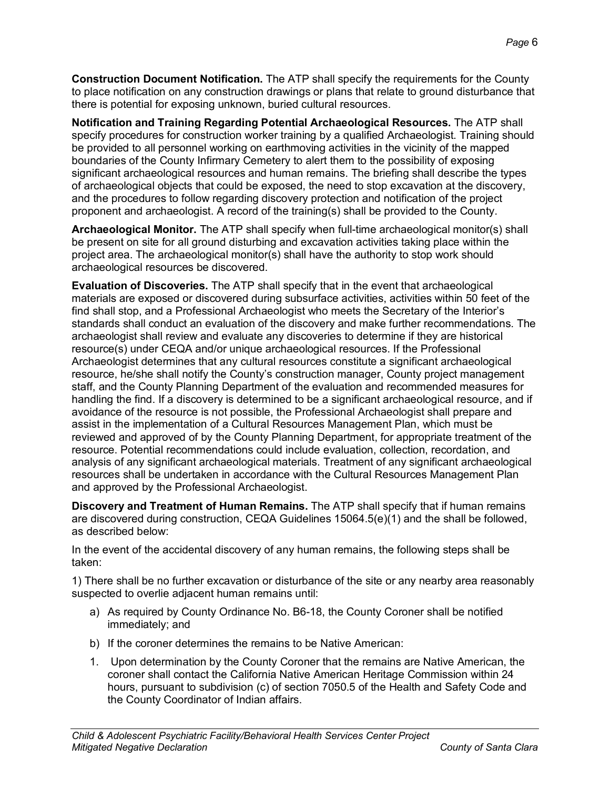**Construction Document Notification.** The ATP shall specify the requirements for the County to place notification on any construction drawings or plans that relate to ground disturbance that there is potential for exposing unknown, buried cultural resources.

**Notification and Training Regarding Potential Archaeological Resources.** The ATP shall specify procedures for construction worker training by a qualified Archaeologist. Training should be provided to all personnel working on earthmoving activities in the vicinity of the mapped boundaries of the County Infirmary Cemetery to alert them to the possibility of exposing significant archaeological resources and human remains. The briefing shall describe the types of archaeological objects that could be exposed, the need to stop excavation at the discovery, and the procedures to follow regarding discovery protection and notification of the project proponent and archaeologist. A record of the training(s) shall be provided to the County.

**Archaeological Monitor.** The ATP shall specify when full-time archaeological monitor(s) shall be present on site for all ground disturbing and excavation activities taking place within the project area. The archaeological monitor(s) shall have the authority to stop work should archaeological resources be discovered.

**Evaluation of Discoveries.** The ATP shall specify that in the event that archaeological materials are exposed or discovered during subsurface activities, activities within 50 feet of the find shall stop, and a Professional Archaeologist who meets the Secretary of the Interior's standards shall conduct an evaluation of the discovery and make further recommendations. The archaeologist shall review and evaluate any discoveries to determine if they are historical resource(s) under CEQA and/or unique archaeological resources. If the Professional Archaeologist determines that any cultural resources constitute a significant archaeological resource, he/she shall notify the County's construction manager, County project management staff, and the County Planning Department of the evaluation and recommended measures for handling the find. If a discovery is determined to be a significant archaeological resource, and if avoidance of the resource is not possible, the Professional Archaeologist shall prepare and assist in the implementation of a Cultural Resources Management Plan, which must be reviewed and approved of by the County Planning Department, for appropriate treatment of the resource. Potential recommendations could include evaluation, collection, recordation, and analysis of any significant archaeological materials. Treatment of any significant archaeological resources shall be undertaken in accordance with the Cultural Resources Management Plan and approved by the Professional Archaeologist.

**Discovery and Treatment of Human Remains.** The ATP shall specify that if human remains are discovered during construction, CEQA Guidelines 15064.5(e)(1) and the shall be followed, as described below:

In the event of the accidental discovery of any human remains, the following steps shall be taken:

1) There shall be no further excavation or disturbance of the site or any nearby area reasonably suspected to overlie adjacent human remains until:

- a) As required by County Ordinance No. B6-18, the County Coroner shall be notified immediately; and
- b) If the coroner determines the remains to be Native American:
- 1. Upon determination by the County Coroner that the remains are Native American, the coroner shall contact the California Native American Heritage Commission within 24 hours, pursuant to subdivision (c) of section 7050.5 of the Health and Safety Code and the County Coordinator of Indian affairs.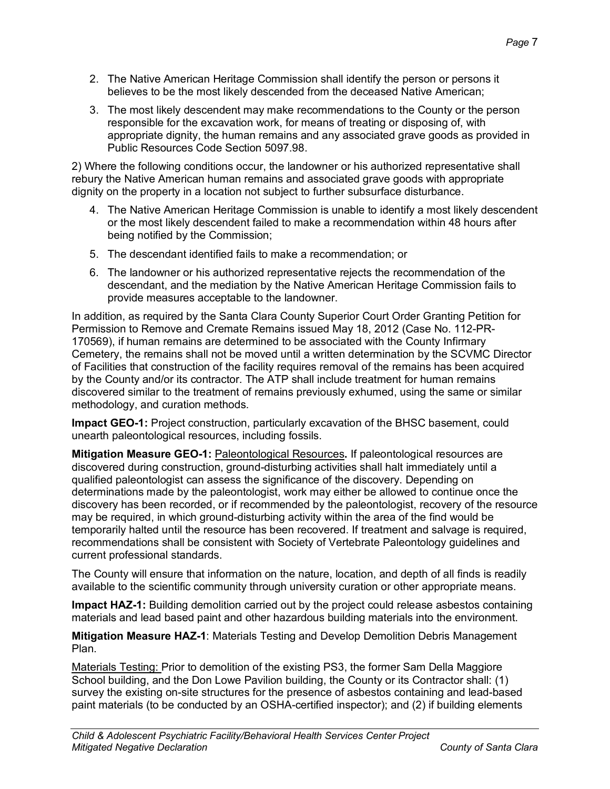- 2. The Native American Heritage Commission shall identify the person or persons it believes to be the most likely descended from the deceased Native American;
- 3. The most likely descendent may make recommendations to the County or the person responsible for the excavation work, for means of treating or disposing of, with appropriate dignity, the human remains and any associated grave goods as provided in Public Resources Code Section 5097.98.

2) Where the following conditions occur, the landowner or his authorized representative shall rebury the Native American human remains and associated grave goods with appropriate dignity on the property in a location not subject to further subsurface disturbance.

- 4. The Native American Heritage Commission is unable to identify a most likely descendent or the most likely descendent failed to make a recommendation within 48 hours after being notified by the Commission;
- 5. The descendant identified fails to make a recommendation; or
- 6. The landowner or his authorized representative rejects the recommendation of the descendant, and the mediation by the Native American Heritage Commission fails to provide measures acceptable to the landowner.

In addition, as required by the Santa Clara County Superior Court Order Granting Petition for Permission to Remove and Cremate Remains issued May 18, 2012 (Case No. 112-PR-170569), if human remains are determined to be associated with the County Infirmary Cemetery, the remains shall not be moved until a written determination by the SCVMC Director of Facilities that construction of the facility requires removal of the remains has been acquired by the County and/or its contractor. The ATP shall include treatment for human remains discovered similar to the treatment of remains previously exhumed, using the same or similar methodology, and curation methods.

**Impact GEO-1:** Project construction, particularly excavation of the BHSC basement, could unearth paleontological resources, including fossils.

**Mitigation Measure GEO-1:** Paleontological Resources**.** If paleontological resources are discovered during construction, ground-disturbing activities shall halt immediately until a qualified paleontologist can assess the significance of the discovery. Depending on determinations made by the paleontologist, work may either be allowed to continue once the discovery has been recorded, or if recommended by the paleontologist, recovery of the resource may be required, in which ground-disturbing activity within the area of the find would be temporarily halted until the resource has been recovered. If treatment and salvage is required, recommendations shall be consistent with Society of Vertebrate Paleontology guidelines and current professional standards.

The County will ensure that information on the nature, location, and depth of all finds is readily available to the scientific community through university curation or other appropriate means.

**Impact HAZ-1:** Building demolition carried out by the project could release asbestos containing materials and lead based paint and other hazardous building materials into the environment.

**Mitigation Measure HAZ-1**: Materials Testing and Develop Demolition Debris Management Plan.

Materials Testing: Prior to demolition of the existing PS3, the former Sam Della Maggiore School building, and the Don Lowe Pavilion building, the County or its Contractor shall: (1) survey the existing on-site structures for the presence of asbestos containing and lead-based paint materials (to be conducted by an OSHA-certified inspector); and (2) if building elements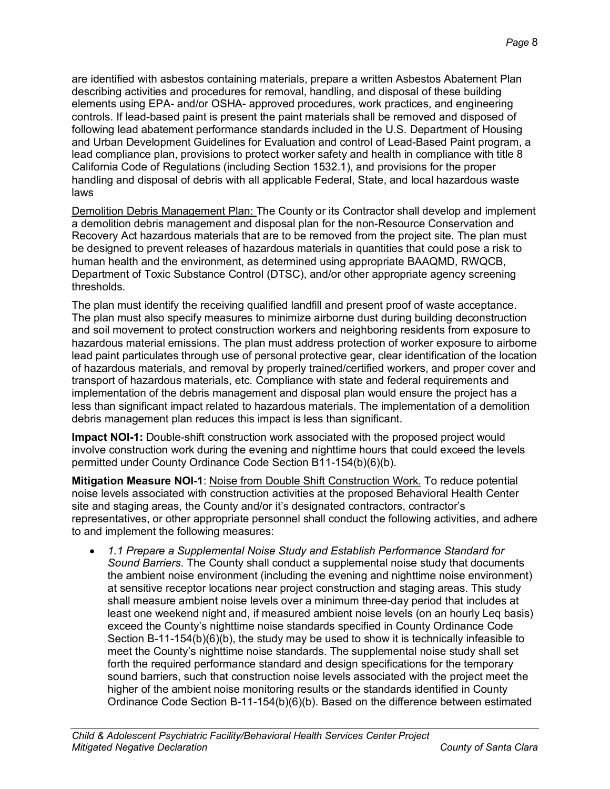are identified with asbestos containing materials, prepare a written Asbestos Abatement Plan describing activities and procedures for removal, handling, and disposal of these building elements using EPA- and/or OSHA- approved procedures, work practices, and engineering controls. If lead-based paint is present the paint materials shall be removed and disposed of following lead abatement performance standards included in the U.S. Department of Housing and Urban Development Guidelines for Evaluation and control of Lead-Based Paint program, a lead compliance plan, provisions to protect worker safety and health in compliance with title 8 California Code of Regulations (including Section 1532.1), and provisions for the proper handling and disposal of debris with all applicable Federal, State, and local hazardous waste laws

Demolition Debris Management Plan: The County or its Contractor shall develop and implement a demolition debris management and disposal plan for the non-Resource Conservation and Recovery Act hazardous materials that are to be removed from the project site. The plan must be designed to prevent releases of hazardous materials in quantities that could pose a risk to human health and the environment, as determined using appropriate BAAQMD, RWQCB, Department of Toxic Substance Control (DTSC), and/or other appropriate agency screening thresholds.

The plan must identify the receiving qualified landfill and present proof of waste acceptance. The plan must also specify measures to minimize airborne dust during building deconstruction and soil movement to protect construction workers and neighboring residents from exposure to hazardous material emissions. The plan must address protection of worker exposure to airborne lead paint particulates through use of personal protective gear, clear identification of the location of hazardous materials, and removal by properly trained/certified workers, and proper cover and transport of hazardous materials, etc. Compliance with state and federal requirements and implementation of the debris management and disposal plan would ensure the project has a less than significant impact related to hazardous materials. The implementation of a demolition debris management plan reduces this impact is less than significant.

**Impact NOI-1:** Double-shift construction work associated with the proposed project would involve construction work during the evening and nighttime hours that could exceed the levels permitted under County Ordinance Code Section B11-154(b)(6)(b).

**Mitigation Measure NOI-1**: Noise from Double Shift Construction Work. To reduce potential noise levels associated with construction activities at the proposed Behavioral Health Center site and staging areas, the County and/or it's designated contractors, contractor's representatives, or other appropriate personnel shall conduct the following activities, and adhere to and implement the following measures:

• *1.1 Prepare a Supplemental Noise Study and Establish Performance Standard for Sound Barriers*. The County shall conduct a supplemental noise study that documents the ambient noise environment (including the evening and nighttime noise environment) at sensitive receptor locations near project construction and staging areas. This study shall measure ambient noise levels over a minimum three-day period that includes at least one weekend night and, if measured ambient noise levels (on an hourly Leq basis) exceed the County's nighttime noise standards specified in County Ordinance Code Section B-11-154(b)(6)(b), the study may be used to show it is technically infeasible to meet the County's nighttime noise standards. The supplemental noise study shall set forth the required performance standard and design specifications for the temporary sound barriers, such that construction noise levels associated with the project meet the higher of the ambient noise monitoring results or the standards identified in County Ordinance Code Section B-11-154(b)(6)(b). Based on the difference between estimated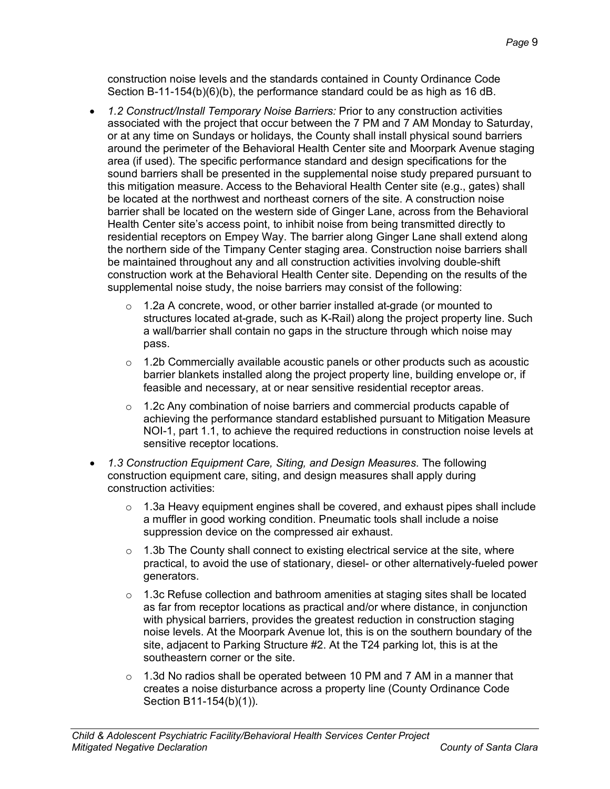construction noise levels and the standards contained in County Ordinance Code Section B-11-154(b)(6)(b), the performance standard could be as high as 16 dB.

- *1.2 Construct/Install Temporary Noise Barriers:* Prior to any construction activities associated with the project that occur between the 7 PM and 7 AM Monday to Saturday, or at any time on Sundays or holidays, the County shall install physical sound barriers around the perimeter of the Behavioral Health Center site and Moorpark Avenue staging area (if used). The specific performance standard and design specifications for the sound barriers shall be presented in the supplemental noise study prepared pursuant to this mitigation measure. Access to the Behavioral Health Center site (e.g., gates) shall be located at the northwest and northeast corners of the site. A construction noise barrier shall be located on the western side of Ginger Lane, across from the Behavioral Health Center site's access point, to inhibit noise from being transmitted directly to residential receptors on Empey Way. The barrier along Ginger Lane shall extend along the northern side of the Timpany Center staging area. Construction noise barriers shall be maintained throughout any and all construction activities involving double-shift construction work at the Behavioral Health Center site. Depending on the results of the supplemental noise study, the noise barriers may consist of the following:
	- $\circ$  1.2a A concrete, wood, or other barrier installed at-grade (or mounted to structures located at-grade, such as K-Rail) along the project property line. Such a wall/barrier shall contain no gaps in the structure through which noise may pass.
	- $\circ$  1.2b Commercially available acoustic panels or other products such as acoustic barrier blankets installed along the project property line, building envelope or, if feasible and necessary, at or near sensitive residential receptor areas.
	- o 1.2c Any combination of noise barriers and commercial products capable of achieving the performance standard established pursuant to Mitigation Measure NOI-1, part 1.1, to achieve the required reductions in construction noise levels at sensitive receptor locations.
- *1.3 Construction Equipment Care, Siting, and Design Measures*. The following construction equipment care, siting, and design measures shall apply during construction activities:
	- $\circ$  1.3a Heavy equipment engines shall be covered, and exhaust pipes shall include a muffler in good working condition. Pneumatic tools shall include a noise suppression device on the compressed air exhaust.
	- $\circ$  1.3b The County shall connect to existing electrical service at the site, where practical, to avoid the use of stationary, diesel- or other alternatively-fueled power generators.
	- $\circ$  1.3c Refuse collection and bathroom amenities at staging sites shall be located as far from receptor locations as practical and/or where distance, in conjunction with physical barriers, provides the greatest reduction in construction staging noise levels. At the Moorpark Avenue lot, this is on the southern boundary of the site, adjacent to Parking Structure #2. At the T24 parking lot, this is at the southeastern corner or the site.
	- $\circ$  1.3d No radios shall be operated between 10 PM and 7 AM in a manner that creates a noise disturbance across a property line (County Ordinance Code Section B11-154(b)(1)).